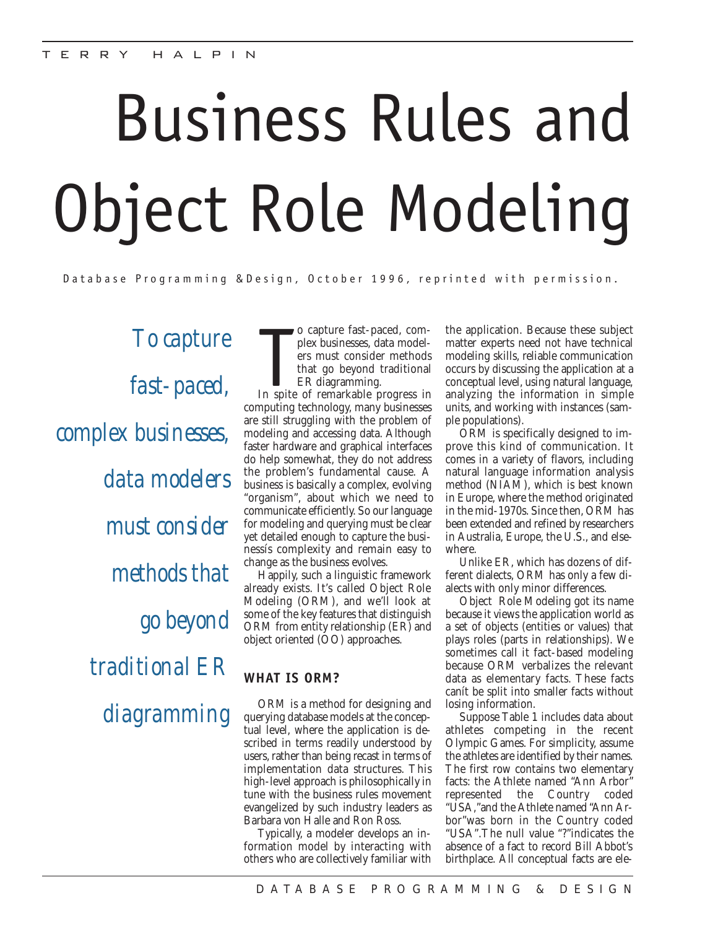# Business Rules and Object Role Modeling

Database Programming &Design, October 1996, reprinted with permission.

*To capture fast-paced, complex businesses, data modelers must consider methods that go beyond traditional ER diagramming* o capture fast-paced, complex businesses, data modelers must consider methods<br>that go beyond traditional<br>ER diagramming.<br>In spite of remarkable progress in o capture fast-paced, complex businesses, data modelers must consider methods that go beyond traditional ER diagramming.

computing technology, many businesses are still struggling with the problem of modeling and accessing data. Although faster hardware and graphical interfaces do help somewhat, they do not address the problem's fundamental cause. A business is basically a complex, evolving "organism", about which we need to communicate efficiently. So our language for modeling and querying must be clear yet detailed enough to capture the businessís complexity and remain easy to change as the business evolves.

Happily, such a linguistic framework already exists. It's called Object Role Modeling (ORM), and we'll look at some of the key features that distinguish ORM from entity relationship (ER) and object oriented (OO) approaches.

# **WHAT IS ORM?**

ORM is a method for designing and querying database models at the conceptual level, where the application is described in terms readily understood by users, rather than being recast in terms of implementation data structures. This high-level approach is philosophically in tune with the business rules movement evangelized by such industry leaders as Barbara von Halle and Ron Ross.

Typically, a modeler develops an information model by interacting with others who are collectively familiar with the application. Because these subject matter experts need not have technical modeling skills, reliable communication occurs by discussing the application at a conceptual level, using natural language, analyzing the information in simple units, and working with instances (sample populations).

ORM is specifically designed to improve this kind of communication. It comes in a variety of flavors, including natural language information analysis method (NIAM), which is best known in Europe, where the method originated in the mid-1970s. Since then, ORM has been extended and refined by researchers in Australia, Europe, the U.S., and elsewhere.

Unlike ER, which has dozens of different dialects, ORM has only a few dialects with only minor differences.

Object Role Modeling got its name because it views the application world as a set of objects (entities or values) that plays roles (parts in relationships). We sometimes call it fact-based modeling because ORM verbalizes the relevant data as elementary facts. These facts canít be split into smaller facts without losing information.

Suppose Table 1 includes data about athletes competing in the recent Olympic Games. For simplicity, assume the athletes are identified by their names. The first row contains two elementary facts: the Athlete named "Ann Arbor" represented the Country coded "USA,"and the Athlete named "Ann Arbor"was born in the Country coded "USA".The null value "?"indicates the absence of a fact to record Bill Abbot's birthplace. All conceptual facts are ele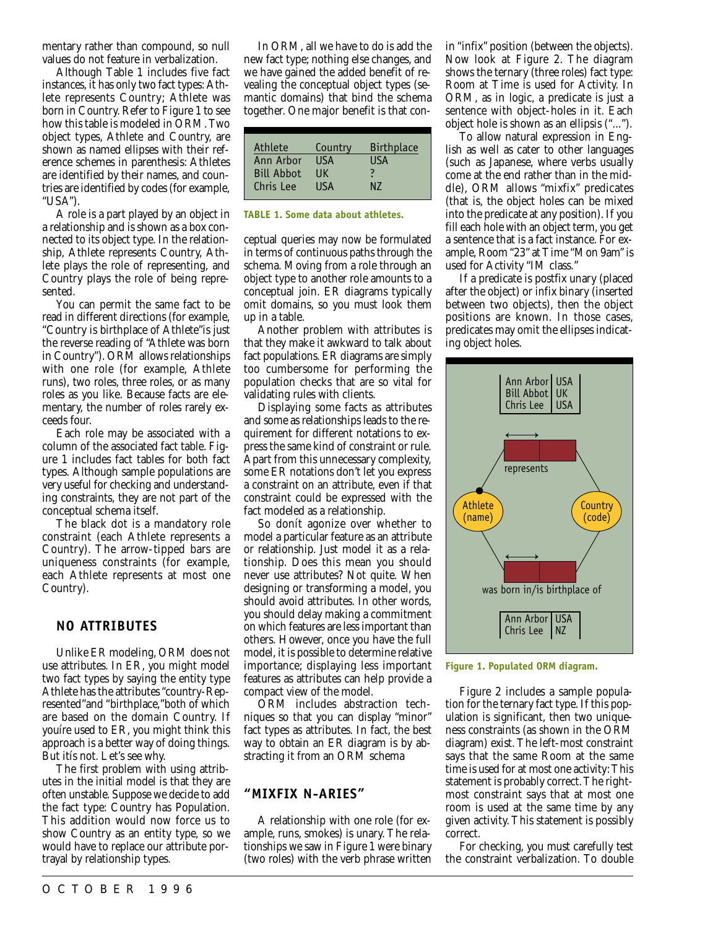mentary rather than compound, so null values do not feature in verbalization.

Although Table 1 includes five fact instances, it has only two fact types: Athlete represents Country; Athlete was born in Country. Refer to Figure 1 to see how this table is modeled in ORM. Two object types, Athlete and Country, are shown as named ellipses with their reference schemes in parenthesis: Athletes are identified by their names, and countries are identified by codes (for example, "USA").

A role is a part played by an object in a relationship and is shown as a box connected to its object type. In the relationship, Athlete represents Country, Athlete plays the role of representing, and Country plays the role of being represented.

You can permit the same fact to be read in different directions (for example, "Country is birthplace of Athlete"is just the reverse reading of "Athlete was born in Country"). ORM allows relationships with one role (for example, Athlete runs), two roles, three roles, or as many roles as you like. Because facts are elementary, the number of roles rarely exceeds four.

Each role may be associated with a column of the associated fact table. Figure 1 includes fact tables for both fact types. Although sample populations are very useful for checking and understanding constraints, they are not part of the conceptual schema itself.

The black dot is a mandatory role constraint (each Athlete represents a Country). The arrow-tipped bars are uniqueness constraints (for example, each Athlete represents at most one Country).

#### **NO ATTRIBUTES**

Unlike ER modeling, ORM does not use attributes. In ER, you might model two fact types by saying the entity type Athlete has the attributes "country-Represented"and "birthplace,"both of which are based on the domain Country. If youíre used to ER, you might think this approach is a better way of doing things. But itís not. Let's see why.

The first problem with using attributes in the initial model is that they are often unstable. Suppose we decide to add the fact type: Country has Population. This addition would now force us to show Country as an entity type, so we would have to replace our attribute portrayal by relationship types.

In ORM, all we have to do is add the new fact type; nothing else changes, and we have gained the added benefit of revealing the conceptual object types (semantic domains) that bind the schema together. One major benefit is that con-

| Athlete           | Country     | <b>Birthplace</b> |
|-------------------|-------------|-------------------|
| Ann Arbor         | <b>USA</b>  | USA               |
| <b>Bill Abbot</b> | ПK          |                   |
| Chris Lee         | <b>IISA</b> | N7                |

#### **TABLE 1. Some data about athletes.**

ceptual queries may now be formulated in terms of continuous paths through the schema. Moving from a role through an object type to another role amounts to a conceptual join. ER diagrams typically omit domains, so you must look them up in a table.

Another problem with attributes is that they make it awkward to talk about fact populations. ER diagrams are simply too cumbersome for performing the population checks that are so vital for validating rules with clients.

Displaying some facts as attributes and some as relationships leads to the requirement for different notations to express the same kind of constraint or rule. Apart from this unnecessary complexity, some ER notations don't let you express a constraint on an attribute, even if that constraint could be expressed with the fact modeled as a relationship.

So donít agonize over whether to model a particular feature as an attribute or relationship. Just model it as a relationship. Does this mean you should never use attributes? Not quite. When designing or transforming a model, you should avoid attributes. In other words, you should delay making a commitment on which features are less important than others. However, once you have the full model, it is possible to determine relative importance; displaying less important features as attributes can help provide a compact view of the model.

ORM includes abstraction techniques so that you can display "minor" fact types as attributes. In fact, the best way to obtain an ER diagram is by abstracting it from an ORM schema

#### **"MIXFIX N-ARIES"**

A relationship with one role (for example, runs, smokes) is unary. The relationships we saw in Figure 1 were binary (two roles) with the verb phrase written in "infix" position (between the objects). Now look at Figure 2. The diagram shows the ternary (three roles) fact type: Room at Time is used for Activity. In ORM, as in logic, a predicate is just a sentence with object-holes in it. Each object hole is shown as an ellipsis ("...").

To allow natural expression in English as well as cater to other languages (such as Japanese, where verbs usually come at the end rather than in the middle), ORM allows "mixfix" predicates (that is, the object holes can be mixed into the predicate at any position). If you fill each hole with an object term, you get a sentence that is a fact instance. For example, Room "23" at Time "Mon 9am"is used for Activity "IM class."

If a predicate is postfix unary (placed after the object) or infix binary (inserted between two objects), then the object positions are known. In those cases, predicates may omit the ellipses indicating object holes.



**Figure 1. Populated ORM diagram.**

Figure 2 includes a sample population for the ternary fact type.If this population is significant, then two uniqueness constraints (as shown in the ORM diagram) exist. The left-most constraint says that the same Room at the same time is used for at most one activity:This statement is probably correct. The rightmost constraint says that at most one room is used at the same time by any given activity. This statement is possibly correct.

For checking, you must carefully test the constraint verbalization. To double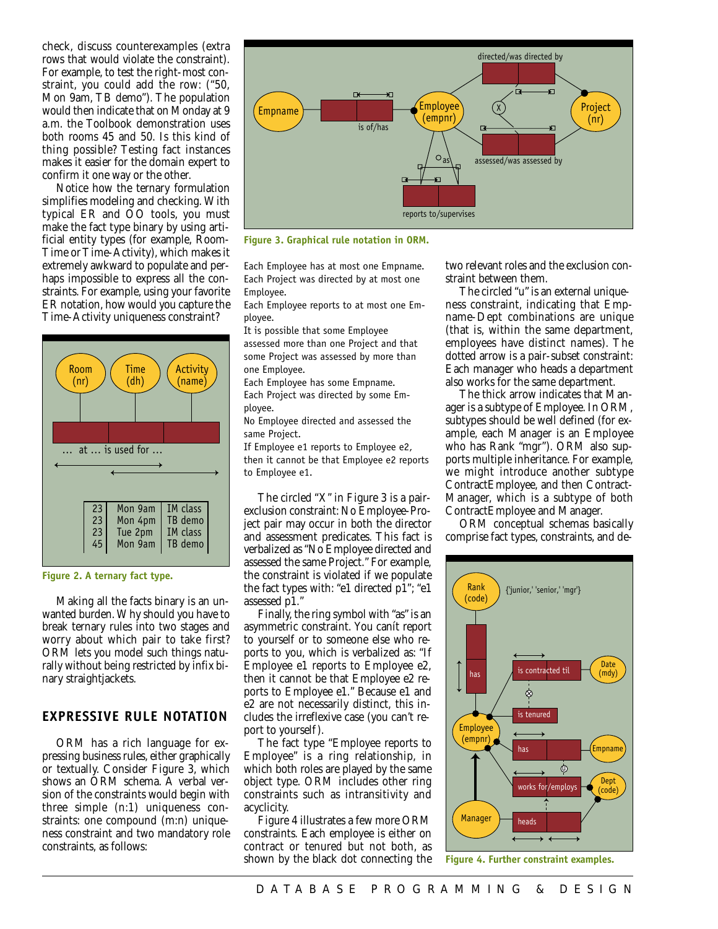check, discuss counterexamples (extra rows that would violate the constraint). For example, to test the right-most constraint, you could add the row: ("50, Mon 9am, TB demo"). The population would then indicate that on Monday at 9 a.m. the Toolbook demonstration uses both rooms 45 and 50. Is this kind of thing possible? Testing fact instances makes it easier for the domain expert to confirm it one way or the other.

Notice how the ternary formulation simplifies modeling and checking. With typical ER and OO tools, you must make the fact type binary by using artificial entity types (for example, Room-Time or Time-Activity), which makes it extremely awkward to populate and perhaps impossible to express all the constraints. For example, using your favorite ER notation, how would you capture the Time-Activity uniqueness constraint?



#### **Figure 2. A ternary fact type.**

Making all the facts binary is an unwanted burden.Why should you have to break ternary rules into two stages and worry about which pair to take first? ORM lets you model such things naturally without being restricted by infix binary straightjackets.

## **EXPRESSIVE RULE NOTATION**

ORM has a rich language for expressing business rules, either graphically or textually. Consider Figure 3, which shows an ORM schema. A verbal version of the constraints would begin with three simple (n:1) uniqueness constraints: one compound (m:n) uniqueness constraint and two mandatory role constraints, as follows:



**Figure 3. Graphical rule notation in ORM.**

Each Employee has at most one Empname. Each Project was directed by at most one Employee.

Each Employee reports to at most one Employee.

It is possible that some Employee assessed more than one Project and that some Project was assessed by more than one Employee.

Each Employee has some Empname. Each Project was directed by some Employee.

No Employee directed and assessed the same Project.

If Employee e1 reports to Employee e2, then it cannot be that Employee e2 reports to Employee e1.

The circled "X" in Figure 3 is a pairexclusion constraint: No Employee-Project pair may occur in both the director and assessment predicates. This fact is verbalized as "No Employee directed and assessed the same Project." For example, the constraint is violated if we populate the fact types with: "e1 directed  $\bar{\bf p}\hat{\bf l}$ "; "e1 assessed p1."

Finally, the ring symbol with "as" is an asymmetric constraint. You canít report to yourself or to someone else who reports to you, which is verbalized as: "If Employee e1 reports to Employee e2, then it cannot be that Employee e2 reports to Employee e1." Because e1 and e2 are not necessarily distinct, this includes the irreflexive case (you can't report to yourself).

The fact type "Employee reports to Employee" is a ring relationship, in which both roles are played by the same object type. ORM includes other ring constraints such as intransitivity and acyclicity.

Figure 4 illustrates a few more ORM constraints. Each employee is either on contract or tenured but not both, as shown by the black dot connecting the two relevant roles and the exclusion constraint between them.

The circled "u" is an external uniqueness constraint, indicating that Empname-Dept combinations are unique (that is, within the same department, employees have distinct names). The dotted arrow is a pair-subset constraint: Each manager who heads a department also works for the same department.

The thick arrow indicates that Manager is a subtype of Employee. In ORM, subtypes should be well defined (for example, each Manager is an Employee who has Rank "mgr"). ORM also supports multiple inheritance. For example, we might introduce another subtype ContractEmployee, and then Contract-Manager, which is a subtype of both ContractEmployee and Manager.

ORM conceptual schemas basically comprise fact types, constraints, and de-



**Figure 4. Further constraint examples.**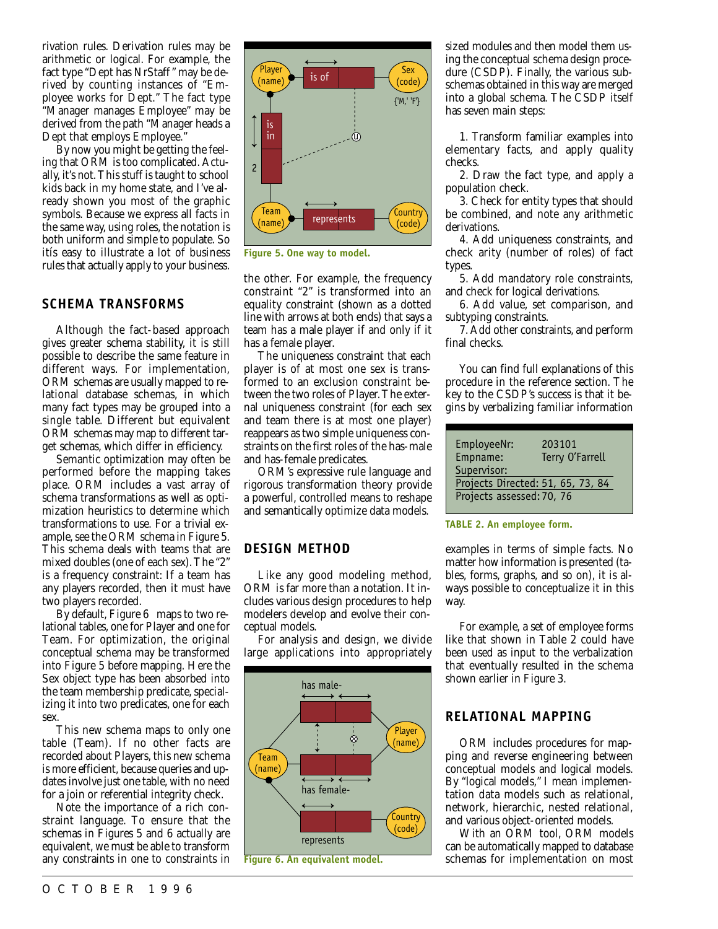rivation rules. Derivation rules may be arithmetic or logical. For example, the fact type "Dept has NrStaff" may be derived by counting instances of "Employee works for Dept." The fact type "Manager manages Employee" may be derived from the path "Manager heads a Dept that employs Employee."

By now you might be getting the feeling that ORM is too complicated. Actually, it's not.This stuff is taught to school kids back in my home state, and I've already shown you most of the graphic symbols. Because we express all facts in the same way, using roles, the notation is both uniform and simple to populate. So itís easy to illustrate a lot of business rules that actually apply to your business.

#### **SCHEMA TRANSFORMS**

Although the fact-based approach gives greater schema stability, it is still possible to describe the same feature in different ways. For implementation, ORM schemas are usually mapped to relational database schemas, in which many fact types may be grouped into a single table. Different but equivalent ORM schemas may map to different target schemas, which differ in efficiency.

Semantic optimization may often be performed before the mapping takes place. ORM includes a vast array of schema transformations as well as optimization heuristics to determine which transformations to use. For a trivial example, see the ORM schema in Figure 5. This schema deals with teams that are mixed doubles (one of each sex). The "2" is a frequency constraint: If a team has any players recorded, then it must have two players recorded.

By default, Figure 6 maps to two relational tables, one for Player and one for Team. For optimization, the original conceptual schema may be transformed into Figure 5 before mapping. Here the Sex object type has been absorbed into the team membership predicate, specializing it into two predicates, one for each sex.

This new schema maps to only one table (Team). If no other facts are recorded about Players, this new schema is more efficient, because queries and updates involve just one table, with no need for a join or referential integrity check.

Note the importance of a rich constraint language. To ensure that the schemas in Figures 5 and 6 actually are equivalent, we must be able to transform any constraints in one to constraints in



**Figure 5. One way to model.**

the other. For example, the frequency constraint "2" is transformed into an equality constraint (shown as a dotted line with arrows at both ends) that says a team has a male player if and only if it has a female player.

The uniqueness constraint that each player is of at most one sex is transformed to an exclusion constraint between the two roles of Player.The external uniqueness constraint (for each sex and team there is at most one player) reappears as two simple uniqueness constraints on the first roles of the has-male and has-female predicates.

ORM's expressive rule language and rigorous transformation theory provide a powerful, controlled means to reshape and semantically optimize data models.

#### **DESIGN METHOD**

Like any good modeling method, ORM is far more than a notation. It includes various design procedures to help modelers develop and evolve their conceptual models.

For analysis and design, we divide large applications into appropriately



sized modules and then model them using the conceptual schema design procedure (CSDP). Finally, the various subschemas obtained in this way are merged into a global schema. The CSDP itself has seven main steps:

1. Transform familiar examples into elementary facts, and apply quality checks.

2. Draw the fact type, and apply a population check.

3. Check for entity types that should be combined, and note any arithmetic derivations.

4. Add uniqueness constraints, and check arity (number of roles) of fact types.

5. Add mandatory role constraints, and check for logical derivations.

6. Add value, set comparison, and subtyping constraints.

7. Add other constraints, and perform final checks.

You can find full explanations of this procedure in the reference section. The key to the CSDP's success is that it begins by verbalizing familiar information

| EmployeeNr:<br>Empname:                          | 203101<br>Terry O'Farrell |
|--------------------------------------------------|---------------------------|
| Supervisor:<br>Projects Directed: 51, 65, 73, 84 |                           |
| Projects assessed: 70, 76                        |                           |

**TABLE 2. An employee form.**

examples in terms of simple facts. No matter how information is presented (tables, forms, graphs, and so on), it is always possible to conceptualize it in this way.

For example, a set of employee forms like that shown in Table 2 could have been used as input to the verbalization that eventually resulted in the schema shown earlier in Figure 3.

## **RELATIONAL MAPPING**

ORM includes procedures for mapping and reverse engineering between conceptual models and logical models. By "logical models," I mean implementation data models such as relational, network, hierarchic, nested relational, and various object-oriented models.

With an ORM tool, ORM models can be automatically mapped to database schemas for implementation on most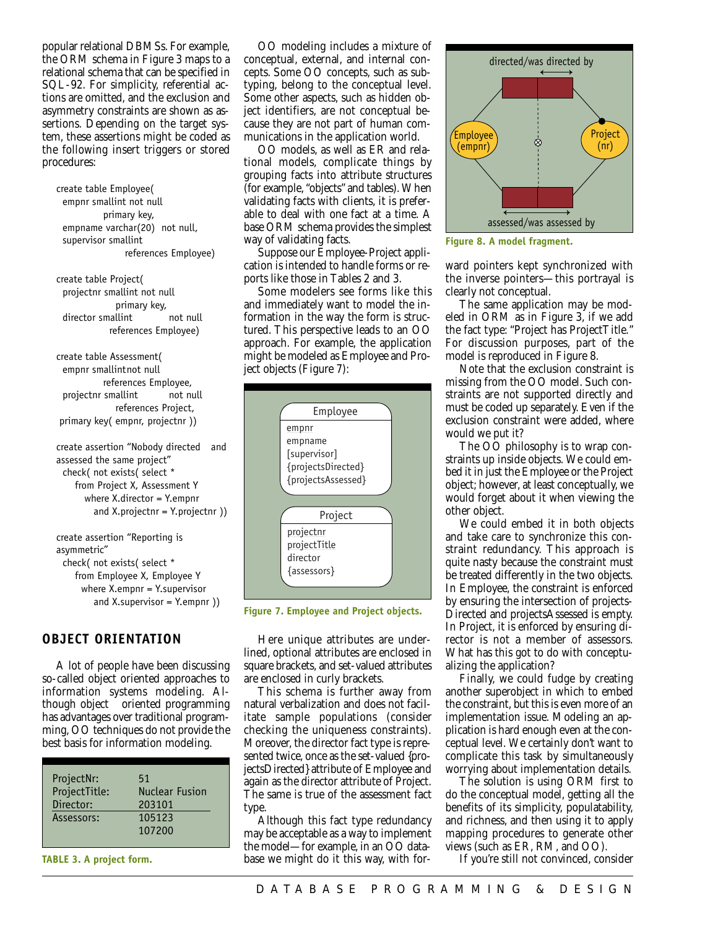popular relational DBMSs. For example, the ORM schema in Figure 3 maps to a relational schema that can be specified in SQL-92. For simplicity, referential actions are omitted, and the exclusion and asymmetry constraints are shown as assertions. Depending on the target system, these assertions might be coded as the following insert triggers or stored procedures:

create table Employee( empnr smallint not null primary key, empname varchar(20) not null, supervisor smallint references Employee)

create table Project( projectnr smallint not null primary key, director smallint not null references Employee)

create table Assessment( empnr smallintnot null references Employee, projectnr smallint not null references Project, primary key( empnr, projectnr ))

create assertion "Nobody directed and assessed the same project" check( not exists( select \* from Project X, Assessment Y where X.director = Y.empnr and X.projectnr = Y.projectnr ))

create assertion "Reporting is asymmetric" check( not exists( select \* from Employee X, Employee Y where X.empnr = Y.supervisor and X.supervisor =  $Y.$ empnr  $)$ 

#### **OBJECT ORIENTATION**

A lot of people have been discussing so-called object oriented approaches to information systems modeling. Although object oriented programming has advantages over traditional programming, OO techniques do not provide the best basis for information modeling.

| ProjectNr:<br>51<br>ProjectTitle:<br>Director:<br>Assessors: | <b>Nuclear Fusion</b><br>203101<br>105123<br>107200 |
|--------------------------------------------------------------|-----------------------------------------------------|
|--------------------------------------------------------------|-----------------------------------------------------|

**TABLE 3. A project form.**

OO modeling includes a mixture of conceptual, external, and internal concepts. Some OO concepts, such as subtyping, belong to the conceptual level. Some other aspects, such as hidden object identifiers, are not conceptual because they are not part of human communications in the application world.

OO models, as well as ER and relational models, complicate things by grouping facts into attribute structures (for example, "objects" and tables). When validating facts with clients, it is preferable to deal with one fact at a time. A base ORM schema provides the simplest way of validating facts.

Suppose our Employee-Project application is intended to handle forms or reports like those in Tables 2 and 3.

Some modelers see forms like this and immediately want to model the information in the way the form is structured. This perspective leads to an OO approach. For example, the application might be modeled as Employee and Project objects (Figure 7):



**Figure 7. Employee and Project objects.**

Here unique attributes are underlined, optional attributes are enclosed in square brackets, and set-valued attributes are enclosed in curly brackets.

This schema is further away from natural verbalization and does not facilitate sample populations (consider checking the uniqueness constraints). Moreover, the director fact type is represented twice, once as the set-valued {projectsDirected} attribute of Employee and again as the director attribute of Project. The same is true of the assessment fact type.

Although this fact type redundancy may be acceptable as a way to implement the model—for example, in an OO database we might do it this way, with for-



**Figure 8. A model fragment.**

ward pointers kept synchronized with the inverse pointers—this portrayal is clearly not conceptual.

The same application may be modeled in ORM as in Figure 3, if we add the fact type: "Project has ProjectTitle." For discussion purposes, part of the model is reproduced in Figure 8.

Note that the exclusion constraint is missing from the OO model. Such constraints are not supported directly and must be coded up separately. Even if the exclusion constraint were added, where would we put it?

The OO philosophy is to wrap constraints up inside objects. We could embed it in just the Employee or the Project object; however, at least conceptually, we would forget about it when viewing the other object.

We could embed it in both objects and take care to synchronize this constraint redundancy. This approach is quite nasty because the constraint must be treated differently in the two objects. In Employee, the constraint is enforced by ensuring the intersection of projects-Directed and projectsAssessed is empty. In Project, it is enforced by ensuring director is not a member of assessors. What has this got to do with conceptualizing the application?

Finally, we could fudge by creating another superobject in which to embed the constraint, but this is even more of an implementation issue. Modeling an application is hard enough even at the conceptual level. We certainly don't want to complicate this task by simultaneously worrying about implementation details.

The solution is using ORM first to do the conceptual model, getting all the benefits of its simplicity, populatability, and richness, and then using it to apply mapping procedures to generate other views (such as ER, RM, and OO).

If you're still not convinced, consider